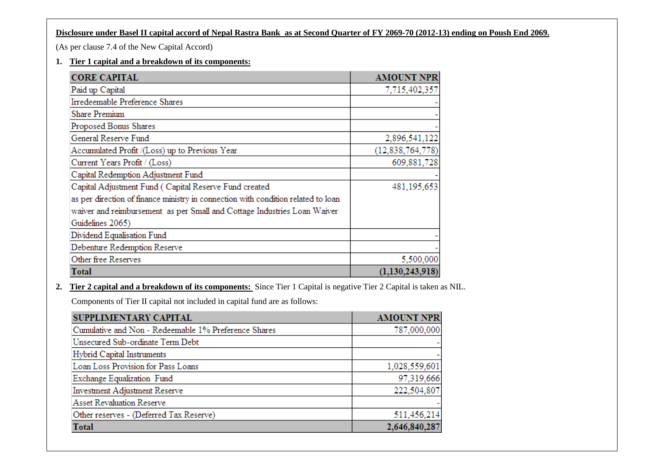## **Disclosure under Basel II capital accord of Nepal Rastra Bank as at Second Quarter of FY 2069-70 (2012-13) ending on Poush End 2069.**

(As per clause 7.4 of the New Capital Accord)

#### **1. Tier 1 capital and a breakdown of its components:**

| <b>CORE CAPITAL</b>                                                               | <b>AMOUNT NPR</b>   |
|-----------------------------------------------------------------------------------|---------------------|
| Paid up Capital                                                                   | 7,715,402,357       |
| Irredeemable Preference Shares                                                    |                     |
| Share Premium                                                                     |                     |
| Proposed Bonus Shares                                                             |                     |
| General Reserve Fund                                                              | 2,896,541,122       |
| Accumulated Profit /(Loss) up to Previous Year                                    | (12, 838, 764, 778) |
| Current Years Profit / (Loss)                                                     | 609,881,728         |
| Capital Redemption Adjustment Fund                                                |                     |
| Capital Adjustment Fund (Capital Reserve Fund created                             | 481,195,653         |
| as per direction of finance ministry in connection with condition related to loan |                     |
| waiver and reimbursement as per Small and Cottage Industries Loan Waiver          |                     |
| Guidelines 2065)                                                                  |                     |
| Dividend Equalisation Fund                                                        |                     |
| Debenture Redemption Reserve                                                      |                     |
| Other free Reserves                                                               | 5,500,000           |
| Total                                                                             | (1,130,243,918)     |

**2. Tier 2 capital and a breakdown of its components:** Since Tier 1 Capital is negative Tier 2 Capital is taken as NIL.

Components of Tier II capital not included in capital fund are as follows:

| SUPPLIMENTARY CAPITAL                                | <b>AMOUNT NPR</b> |
|------------------------------------------------------|-------------------|
| Cumulative and Non - Redeemable 1% Preference Shares | 787,000,000       |
| Unsecured Sub-ordinate Term Debt                     |                   |
| Hybrid Capital Instruments                           |                   |
| Loan Loss Provision for Pass Loans                   | 1,028,559,601     |
| Exchange Equalization Fund                           | 97,319,666        |
| Investment Adjustment Reserve                        | 222,504,807       |
| <b>Asset Revaluation Reserve</b>                     |                   |
| Other reserves - (Deferred Tax Reserve)              | 511,456,214       |
| Total                                                | 2,646,840,287     |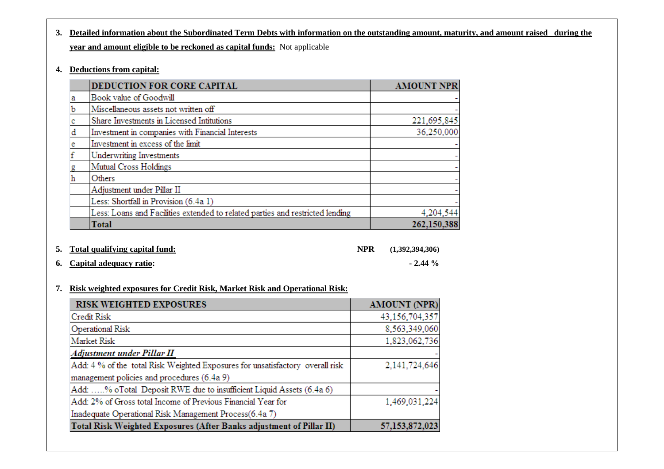# **3. Detailed information about the Subordinated Term Debts with information on the outstanding amount, maturity, and amount raised during the year and amount eligible to be reckoned as capital funds:** Not applicable

**4. Deductions from capital:**

|   | DEDUCTION FOR CORE CAPITAL                                                    | <b>AMOUNT NPR</b> |
|---|-------------------------------------------------------------------------------|-------------------|
| а | Book value of Goodwill                                                        |                   |
| ь | Miscellaneous assets not written off                                          |                   |
|   | Share Investments in Licensed Intitutions                                     | 221,695,845       |
| đ | Investment in companies with Financial Interests                              | 36,250,000        |
| e | Investment in excess of the limit                                             |                   |
|   | <b>Underwriting Investments</b>                                               |                   |
| g | Mutual Cross Holdings                                                         |                   |
| h | Others                                                                        |                   |
|   | Adjustment under Pillar II                                                    |                   |
|   | Less: Shortfall in Provision (6.4a 1)                                         |                   |
|   | Less: Loans and Facilities extended to related parties and restricted lending | 4,204,544         |
|   | <b>Total</b>                                                                  | 262,150,388       |

| 5. Total qualifying capital fund: | <b>NPR</b> | (1,392,394,306) |
|-----------------------------------|------------|-----------------|
| 6. Capital adequacy ratio:        |            | $-2.44\%$       |

### **7. Risk weighted exposures for Credit Risk, Market Risk and Operational Risk:**

| <b>RISK WEIGHTED EXPOSURES</b>                                                | <b>AMOUNT (NPR)</b> |
|-------------------------------------------------------------------------------|---------------------|
| Credit Risk                                                                   | 43,156,704,357      |
| <b>Operational Risk</b>                                                       | 8,563,349,060       |
| Market Risk                                                                   | 1,823,062,736       |
| Adjustment under Pillar II                                                    |                     |
| Add: 4 % of the total Risk Weighted Exposures for unsatisfactory overall risk | 2,141,724,646       |
| management policies and procedures (6.4a 9)                                   |                     |
| Add: % oTotal Deposit RWE due to insufficient Liquid Assets (6.4a 6)          |                     |
| Add: 2% of Gross total Income of Previous Financial Year for                  | 1,469,031,224       |
| Inadequate Operational Risk Management Process(6.4a 7)                        |                     |
| Total Risk Weighted Exposures (After Banks adjustment of Pillar II)           | 57,153,872,023      |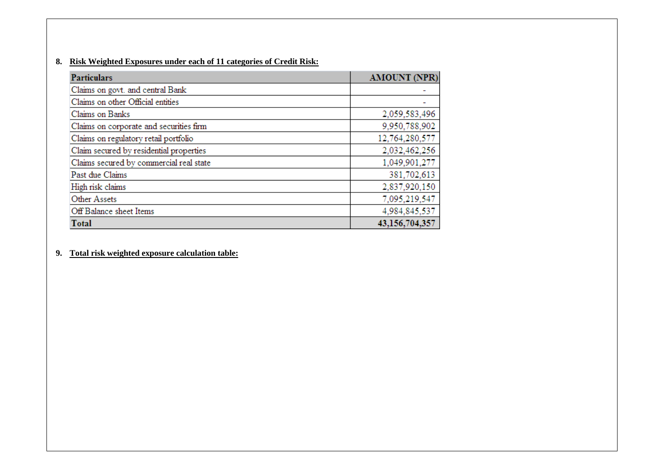#### **8. Risk Weighted Exposures under each of 11 categories of Credit Risk:**

| <b>Particulars</b>                      | <b>AMOUNT (NPR)</b> |
|-----------------------------------------|---------------------|
| Claims on govt. and central Bank        |                     |
| Claims on other Official entities       |                     |
| Claims on Banks                         | 2,059,583,496       |
| Claims on corporate and securities firm | 9,950,788,902       |
| Claims on regulatory retail portfolio   | 12,764,280,577      |
| Claim secured by residential properties | 2,032,462,256       |
| Claims secured by commercial real state | 1,049,901,277       |
| Past due Claims                         | 381,702,613         |
| High risk claims                        | 2,837,920,150       |
| <b>Other Assets</b>                     | 7,095,219,547       |
| Off Balance sheet Items                 | 4,984,845,537       |
| <b>Total</b>                            | 43,156,704,357      |

#### **9. Total risk weighted exposure calculation table:**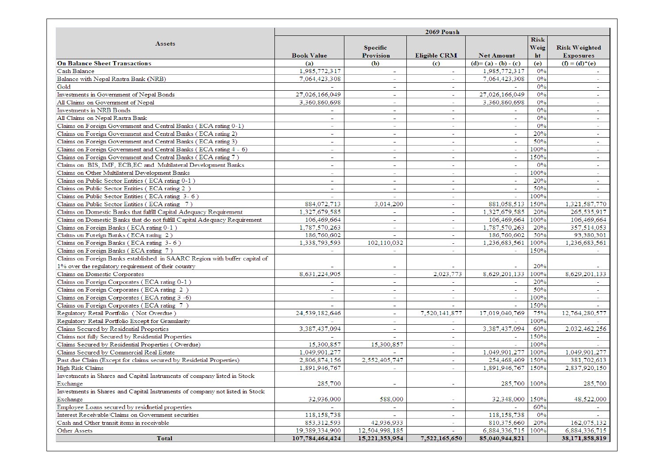|                                                                              | 2069 Poush               |                          |                          |                          |             |                          |
|------------------------------------------------------------------------------|--------------------------|--------------------------|--------------------------|--------------------------|-------------|--------------------------|
|                                                                              |                          |                          |                          |                          | <b>Risk</b> |                          |
| <b>Assets</b>                                                                |                          | <b>Specific</b>          |                          |                          | <b>Weig</b> | <b>Risk Weighted</b>     |
|                                                                              | <b>Book Value</b>        | <b>Provision</b>         | <b>Eligible CRM</b>      | <b>Net Amount</b>        | ht          | <b>Exposures</b>         |
| <b>On Balance Sheet Transactions</b>                                         | (a)                      | (b)                      | (c)                      | $(d)=(a)-(b)-(c)$        | (e)         | $(f) = (d)^*(e)$         |
| Cash Balance                                                                 | 1.985.772.317            | $\sim$                   | $\sim$                   | 1.985.772.317            | 0%          | $\sim$                   |
| Balance with Nepal Rastra Bank (NRB)                                         | 7,064,423,308            | $\sim$                   | $\sim$                   | 7,064,423,308            | 0%          | $\sim$                   |
| Gold                                                                         |                          |                          | $\overline{a}$           |                          | 0%          |                          |
| Investments in Government of Nepal Bonds                                     | 27,026,166,049           | $\sim$                   | $\sim$                   | 27,026,166,049           | 0%          | $\sim$                   |
| All Claims on Government of Nepal                                            | 3,360,860,698            | $\sim$                   | ٠                        | 3,360,860,698            | 0%          | $\overline{\phantom{0}}$ |
| Investments in NRB Bonds                                                     |                          |                          | $\sim$                   |                          | 0%          |                          |
| All Claims on Nepal Rastra Bank                                              | ÷                        | ÷.                       | $\sim$                   | $\sim$                   | 0%          | $\sim$                   |
| Claims on Foreign Government and Central Banks (ECA rating 0-1)              | $\sim$                   | $\sim$                   | Ξ                        |                          | 0%          | $\sim$                   |
| Claims on Foreign Government and Central Banks (ECA rating 2)                |                          |                          | ٠                        |                          | 20%         |                          |
| Claims on Foreign Government and Central Banks (ECA rating 3)                | $\overline{\phantom{0}}$ | $\overline{\phantom{0}}$ | $\sim$                   | $\sim$                   | 50%         | $\overline{\phantom{a}}$ |
| Claims on Foreign Government and Central Banks (ECA rating 4 - 6)            |                          |                          | ÷.                       | ÷,                       | 100%        | ÷.                       |
| Claims on Foreign Government and Central Banks (ECA rating 7)                | $\overline{\phantom{0}}$ | $\overline{\phantom{a}}$ | ÷.                       | $\sim$                   | 150%        | $\overline{\phantom{a}}$ |
| Claims on BIS, IMF, ECB,EC and Multilateral Development Banks                | ÷                        | ÷.                       | $\sim$                   | $\sim$                   | 0%          | $\sim$                   |
| Claims on Other Multilateral Development Banks                               |                          |                          | $\overline{\phantom{a}}$ | $\overline{\phantom{a}}$ | 100%        |                          |
| Claims on Public Sector Entities (ECA rating 0-1)                            | $\sim$                   | $\sim$                   | $\sim$                   | $\sim$                   | 20%         | $\sim$                   |
| Claims on Public Sector Entities (ECA rating 2)                              | $\sim$                   | $\overline{\phantom{a}}$ | $\overline{a}$           | $\sim$                   | 50%         | $\sim$                   |
| Claims on Public Sector Entities (ECA rating 3-6)                            | $\sim$                   | $\sim$                   | $\sim$                   | $\sim$                   | 100%        |                          |
| Claims on Public Sector Entities (ECA rating 7)                              | 884,072,713              | 3,014,200                | $\overline{\phantom{a}}$ | 881,058,513              | 150%        | 1,321,587,770            |
| Claims on Domestic Banks that fulfill Capital Adequacy Requirement           | 1,327,679,585            |                          | $\sim$                   | 1.327.679.585            | 20%         | 265,535,917              |
| Claims on Domestic Banks that do not fulfill Capital Adequacy Requirement    | 106,469,664              | $\sim$                   | $\sim$                   | 106,469,664              | 100%        | 106,469,664              |
| Claims on Foreign Banks (ECA rating 0-1)                                     | 1,787,570,263            |                          | ÷                        | 1,787,570,263            | 20%         | 357.514.053              |
| Claims on Foreign Banks (ECA rating 2)                                       | 186,760,602              |                          | $\sim$                   | 186,760,602              | 50%         | 93,380,301               |
| Claims on Foreign Banks (ECA rating 3-6)                                     | 1,338,793,593            | 102,110,032              | ÷.                       | 1,236,683,561            | 100%        | 1,236,683,561            |
| Claims on Foreign Banks (ECA rating 7)                                       |                          | $\overline{\phantom{a}}$ | $\sim$                   |                          | 150%        |                          |
| Claims on Foreign Banks established in SAARC Region with buffer capital of   | $\sim$                   |                          |                          |                          |             |                          |
|                                                                              |                          |                          |                          |                          | 20%         |                          |
| 1% over the regulatory requirement of their country                          |                          |                          |                          |                          |             |                          |
| Claims on Domestic Corporates                                                | 8,631,224,905            | $\sim$                   | 2,023,773                | 8,629,201,133            | 100%<br>20% | 8,629,201,133            |
| Claims on Foreign Corporates (ECA rating 0-1)                                |                          | $\sim$                   |                          |                          |             |                          |
| Claims on Foreign Corporates (ECA rating 2)                                  |                          |                          |                          |                          | 50%         |                          |
| Claims on Foreign Corporates (ECA rating 3 -6)                               | $\overline{\phantom{0}}$ | $\overline{\phantom{0}}$ | $\sim$                   | $\sim$                   | 100%        | $\overline{\phantom{a}}$ |
| Claims on Foreign Corporates (ECA rating 7)                                  |                          | $\sim$                   | ÷.                       | $\sim$                   | 150%        |                          |
| Regulatory Retail Portfolio (Not Overdue)                                    | 24,539,182,646           |                          | 7,520,141,877            | 17,019,040,769           | 75%         | 12,764,280,577           |
| Regulatory Retail Portfolio Except for Granularity                           |                          | $\sim$                   | $\sim$                   |                          | 100%        |                          |
| Claims Secured by Residential Properties                                     | 3,387,437,094            | $\sim$                   | $\sim$                   | 3,387,437,094            | 60%         | 2,032,462,256            |
| Claims not fully Secured by Residential Properties                           |                          |                          | $\sim$                   |                          | 150%        |                          |
| Claims Secured by Residential Properties (Overdue)                           | 15,300,857               | 15,300,857               | $\sim$                   |                          | 100%        |                          |
| Claims Secured by Commercial Real Estate                                     | 1,049,901,277            | $\overline{\phantom{a}}$ | $\overline{\phantom{a}}$ | 1,049,901,277            | 100%        | 1,049,901,277            |
| Past due Claim (Except for claims secured by Residetial Properties)          | 2,806,874,156            | 2,552,405,747            | ÷                        | 254,468,409              | 150%        | 381,702,613              |
| <b>High Risk Claims</b>                                                      | 1,891,946,767            |                          |                          | 1,891,946,767            | 150%        | 2,837,920,150            |
| Investments in Shares and Capital Instruments of company listed in Stock     |                          |                          |                          |                          |             |                          |
| Exchange                                                                     | 285,700                  | $\sim$                   | $\sim$                   | 285,700 100%             |             | 285,700                  |
| Investments in Shares and Capital Instruments of company not listed in Stock |                          |                          |                          |                          |             |                          |
| Exchange                                                                     | 32,936,000               | 588,000                  |                          | 32,348,000               | 150%        | 48,522,000               |
| Employee Loans secured by residnetial properties                             | $\sim$                   | $\sim$                   | $\sim$                   |                          | 60%         |                          |
| Interest Receivable/Claims on Government securities                          | 118,158,738              |                          | $\sim$                   | 118,158,738              | 0%          |                          |
| Cash and Other transit items in receivable                                   | 853, 312, 593            | 42,936,933               |                          | 810,375,660              | 20%         | 162,075,132              |
| Other Assets                                                                 | 19,389,334,900           | 12,504,998,185           | $\sim$                   | 6,884,336,715            | 100%        | 6,884,336,715            |
| <b>Total</b>                                                                 | 107,784,464,424          | 15,221,353,954           | 7,522,165,650            | 85,040,944,821           |             | 38,171,858,819           |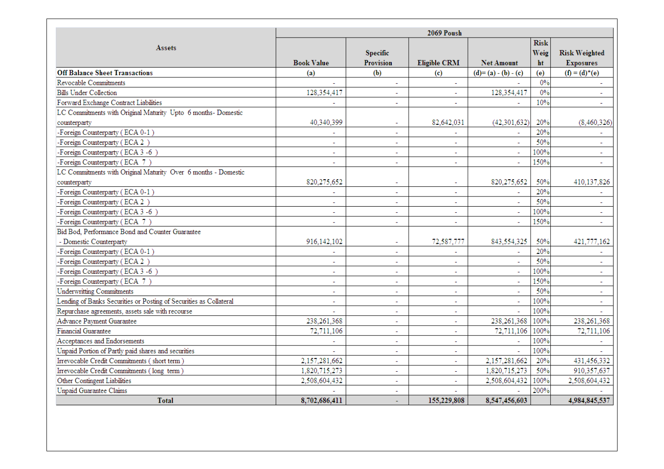|                                                                    | <b>2069 Poush</b> |                              |                          |                     |                           |                                          |
|--------------------------------------------------------------------|-------------------|------------------------------|--------------------------|---------------------|---------------------------|------------------------------------------|
| Assets                                                             | <b>Book Value</b> | <b>Specific</b><br>Provision | <b>Eligible CRM</b>      | <b>Net Amount</b>   | <b>Risk</b><br>Weig<br>ht | <b>Risk Weighted</b><br><b>Exposures</b> |
| <b>Off Balance Sheet Transactions</b>                              | (a)               | (b)                          | (c)                      | $(d)=(a)-(b)-(c)$   | (e)                       | $(f) = (d)^*(e)$                         |
| Revocable Commitments                                              |                   | $\overline{a}$               | ÷.                       |                     | 0%                        |                                          |
| <b>Bills Under Collection</b>                                      | 128,354,417       | ä,                           |                          | 128,354,417         | 0%                        |                                          |
| Forward Exchange Contract Liabilities                              |                   | $\overline{a}$               | $\overline{a}$           |                     | 10%                       | $\sim$                                   |
| LC Commitments with Original Maturity Upto 6 months- Domestic      |                   |                              |                          |                     |                           |                                          |
| counterparty                                                       | 40,340,399        | $\sim$                       | 82,642,031               | (42, 301, 632)      | 20%                       | (8,460,326)                              |
| -Foreign Counterparty (ECA 0-1)                                    |                   |                              |                          |                     | 20%                       |                                          |
| -Foreign Counterparty (ECA 2)                                      | ÷.                | $\overline{a}$               | ÷.                       |                     | 50%                       | $\sim$                                   |
| -Foreign Counterparty (ECA 3 -6)                                   |                   | $\sim$                       | $\overline{a}$           | $\sim$              | 100%                      | $\sim$                                   |
| -Foreign Counterparty (ECA 7)                                      | ÷                 | $\tilde{\phantom{a}}$        | $\tilde{\phantom{a}}$    | $\sim$              | 150%                      | $\sim$                                   |
| LC Commitments with Original Maturity Over 6 months - Domestic     |                   |                              |                          |                     |                           |                                          |
| counterparty                                                       | 820, 275, 652     | $\overline{\phantom{a}}$     | $\blacksquare$           | 820,275,652         | 50%                       | 410,137,826                              |
| -Foreign Counterparty (ECA 0-1)                                    |                   |                              | $\overline{\phantom{a}}$ |                     | 20%                       |                                          |
| -Foreign Counterparty (ECA 2)                                      | $\overline{a}$    | $\overline{a}$               | $\overline{a}$           |                     | 50%                       |                                          |
| -Foreign Counterparty (ECA 3 -6)                                   |                   | $\ddot{\phantom{0}}$         | ÷.                       |                     | 100%                      | $\sim$                                   |
| -Foreign Counterparty (ECA 7)                                      |                   | $\overline{a}$               | $\overline{a}$           |                     | 150%                      |                                          |
| Bid Bod, Performance Bond and Counter Guarantee                    |                   |                              |                          |                     |                           |                                          |
| - Domestic Counterparty                                            | 916,142,102       | $\overline{\phantom{a}}$     | 72,587,777               | 843,554,325         | 50%                       | 421,777,162                              |
| -Foreign Counterparty (ECA 0-1)                                    |                   |                              |                          |                     | 20%                       |                                          |
| -Foreign Counterparty (ECA 2)                                      |                   |                              | ÷.                       |                     | 50%                       |                                          |
| -Foreign Counterparty (ECA 3 -6)                                   | $\overline{a}$    | $\overline{a}$               | $\overline{a}$           | $\mathbf{r}$        | 100%                      | $\mathbf{r}$                             |
| -Foreign Counterparty (ECA 7)                                      | ÷                 | $\overline{a}$               | ä,                       | $\mathcal{L}^{\pm}$ | 150%                      | $\overline{a}$                           |
| <b>Underwritting Commitments</b>                                   | $\sim$            | $\sim$                       | $\mathbf{r}$             | $\sim$              | 50%                       | $\sim$                                   |
| Lending of Banks Securities or Posting of Securities as Collateral | $\sim$            | $\sim$                       | $\overline{\phantom{a}}$ | $\blacksquare$      | 100%                      | $\equiv$                                 |
| Repurchase agreements, assets sale with recourse                   |                   |                              | $\overline{\phantom{a}}$ |                     | 100%                      |                                          |
| Advance Payment Guarantee                                          | 238,261,368       |                              | $\overline{a}$           | 238,261,368         | 100%                      | 238,261,368                              |
| <b>Financial Guarantee</b>                                         | 72,711,106        | ä,                           | $\tilde{\phantom{a}}$    | 72,711,106          | 100%                      | 72,711,106                               |
| Acceptances and Endorsements                                       |                   | $\overline{a}$               | $\mathbf{r}$             |                     | 100%                      |                                          |
| Unpaid Portion of Partly paid shares and securities                |                   | $\overline{\phantom{0}}$     | $\overline{\phantom{0}}$ |                     | 100%                      |                                          |
| Irrevocable Credit Commitments (short term)                        | 2,157,281,662     | $\sim$                       | $\mathbf{r}$             | 2,157,281,662       | 20%                       | 431,456,332                              |
| Irrevocable Credit Commitments (long term)                         | 1,820,715,273     | $\overline{\phantom{a}}$     |                          | 1,820,715,273       | 50%                       | 910,357,637                              |
| Other Contingent Liabilities                                       | 2,508,604,432     | $\overline{a}$               |                          | 2,508,604,432       | 100%                      | 2,508,604,432                            |
| Unpaid Guarantee Claims                                            |                   | $\overline{a}$               |                          |                     | 200%                      |                                          |
| <b>Total</b>                                                       | 8,702,686,411     |                              | 155,229,808              | 8,547,456,603       |                           | 4.984,845,537                            |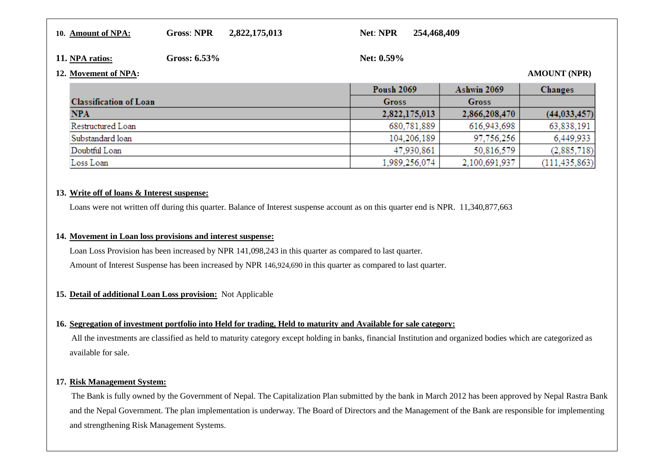#### **10. Amount of NPA:Gross**: **NPR 2,822,175,013 Net**: **NPR 254,468,409**

#### **11. NPA ratios:**

Gross: 6.53% **Net: 0.59%** 

#### **12. Movement of NPA: AMOUNT (NPR)**

#### **Poush 2069 Ashwin 2069** Changes **Classification of Loan Gross Gross** 2,822,175,013 2,866,208,470  $(44.033.457)$ **NPA** Restructured Loan 680.781.889 63.838.191 616.943.698 Substandard loan 104.206.189 97.756.256 6.449.933 Doubtful Loan 47,930,861 50,816,579  $(2,885,718)$ Loss Loan 1.989.256.074 2.100.691.937  $(111.435.863)$

#### **13. Write off of loans & Interest suspense:**

Loans were not written off during this quarter. Balance of Interest suspense account as on this quarter end is NPR. 11,340,877,663

#### **14. Movement in Loan loss provisions and interest suspense:**

Loan Loss Provision has been increased by NPR 141,098,243 in this quarter as compared to last quarter.Amount of Interest Suspense has been increased by NPR 146,924,690 in this quarter as compared to last quarter.

#### **15. Detail of additional Loan Loss provision:** Not Applicable

#### **16. Segregation of investment portfolio into Held for trading, Held to maturity and Available for sale category:**

All the investments are classified as held to maturity category except holding in banks, financial Institution and organized bodies which are categorized as available for sale.

#### **17. Risk Management System:**

The Bank is fully owned by the Government of Nepal. The Capitalization Plan submitted by the bank in March 2012 has been approved by Nepal Rastra Bank and the Nepal Government. The plan implementation is underway. The Board of Directors and the Management of the Bank are responsible for implementing and strengthening Risk Management Systems.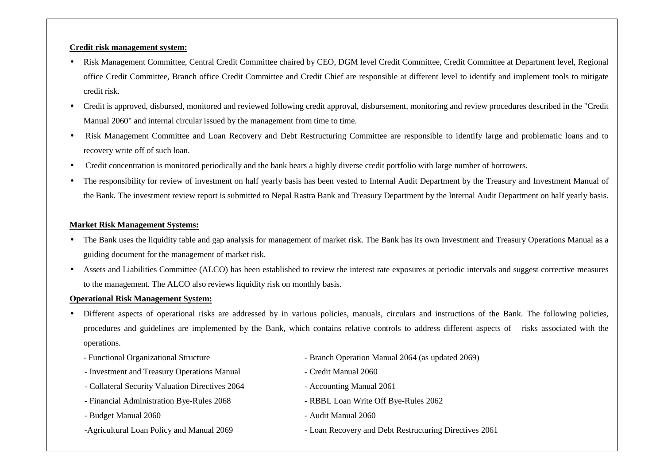#### **Credit risk management system:**

- Risk Management Committee, Central Credit Committee chaired by CEO, DGM level Credit Committee, Credit Committee at Department level, Regional office Credit Committee, Branch office Credit Committee and Credit Chief are responsible at different level to identify and implement tools to mitigate credit risk.
- Credit is approved, disbursed, monitored and reviewed following credit approval, disbursement, monitoring and review procedures described in the "Credit Manual 2060" and internal circular issued by the management from time to time.
- Risk Management Committee and Loan Recovery and Debt Restructuring Committee are responsible to identify large and problematic loans and to recovery write off of such loan.
- Credit concentration is monitored periodically and the bank bears a highly diverse credit portfolio with large number of borrowers.
- The responsibility for review of investment on half yearly basis has been vested to Internal Audit Department by the Treasury and Investment Manual of the Bank. The investment review report is submitted to Nepal Rastra Bank and Treasury Department by the Internal Audit Department on half yearly basis.

#### **Market Risk Management Systems:**

- The Bank uses the liquidity table and gap analysis for management of market risk. The Bank has its own Investment and Treasury Operations Manual as a guiding document for the management of market risk.
- • Assets and Liabilities Committee (ALCO) has been established to review the interest rate exposures at periodic intervals and suggest corrective measures to the management. The ALCO also reviews liquidity risk on monthly basis.

#### **Operational Risk Management System:**

- • Different aspects of operational risks are addressed by in various policies, manuals, circulars and instructions of the Bank. The following policies, procedures and guidelines are implemented by the Bank, which contains relative controls to address different aspects of risks associated with the operations.
	-
	- Investment and Treasury Operations Manual Credit Manual 2060
	- Collateral Security Valuation Directives 2064 Accounting Manual 2061
	- Financial Administration Bye-Rules 2068 RBBL Loan Write Off Bye-Rules 2062
	- Budget Manual 2060  **Audit Manual 2060** Audit Manual 2060
	-
- Functional Organizational Structure Branch Operation Manual 2064 (as updated 2069)
	-
	-
	-
	-
- -Agricultural Loan Policy and Manual 2069 Loan Recovery and Debt Restructuring Directives 2061